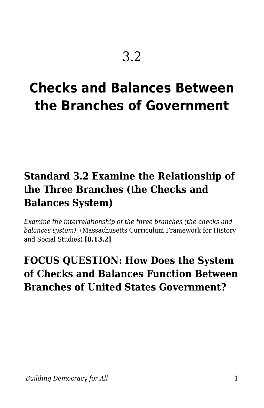# **Checks and Balances Between the Branches of Government**

## **Standard 3.2 Examine the Relationship of the Three Branches (the Checks and Balances System)**

*Examine the interrelationship of the three branches (the checks and balances system).* (Massachusetts Curriculum Framework for History and Social Studies) **[8.T3.2]**

## **FOCUS QUESTION: How Does the System of Checks and Balances Function Between Branches of United States Government?**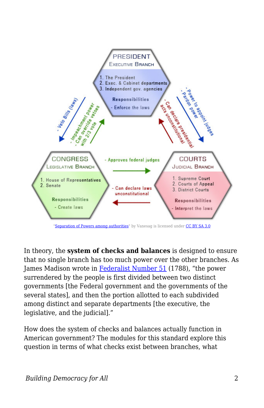

In theory, the **system of checks and balances** is designed to ensure that no single branch has too much power over the other branches. As James Madison wrote in [Federalist Number 51](https://billofrightsinstitute.org/founding-documents/primary-source-documents/the-federalist-papers/federalist-papers-no-51/) (1788), "the power surrendered by the people is first divided between two distinct governments [the Federal government and the governments of the several states], and then the portion allotted to each subdivided among distinct and separate departments [the executive, the legislative, and the judicial]."

How does the system of checks and balances actually function in American government? The modules for this standard explore this question in terms of what checks exist between branches, what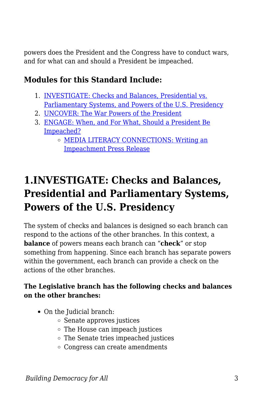powers does the President and the Congress have to conduct wars, and for what can and should a President be impeached.

## **Modules for this Standard Include:**

- 1. [INVESTIGATE: Checks and Balances, Presidential vs.](https://edtechbooks.org/democracy/relationship#h3_nxPwd) [Parliamentary Systems, and Powers of the U.S. Presidency](https://edtechbooks.org/democracy/relationship#h3_nxPwd)
- 2. [UNCOVER: The War Powers of the President](https://edtechbooks.org/democracy/relationship#p_uffEP)
- 3. [ENGAGE: When, and For What, Should a President Be](https://edtechbooks.org/democracy/relationship#p_UYznR) [Impeached?](https://edtechbooks.org/democracy/relationship#p_UYznR)
	- [MEDIA LITERACY CONNECTIONS: Writing an](https://edtechbooks.org/democracy/relationship#h3_xtcD) [Impeachment Press Release](https://edtechbooks.org/democracy/relationship#h3_xtcD)

## **1.INVESTIGATE: Checks and Balances, Presidential and Parliamentary Systems, Powers of the U.S. Presidency**

The system of checks and balances is designed so each branch can respond to the actions of the other branches. In this context, a **balance** of powers means each branch can "**check**" or stop something from happening. Since each branch has separate powers within the government, each branch can provide a check on the actions of the other branches.

#### **The Legislative branch has the following checks and balances on the other branches:**

- On the Judicial branch:
	- $\circ$  Senate approves justices
	- The House can impeach justices
	- The Senate tries impeached justices
	- Congress can create amendments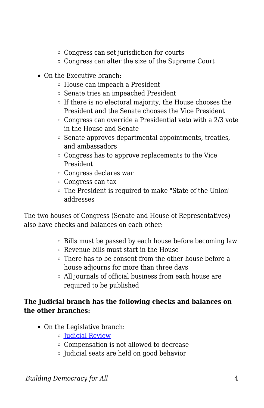- Congress can set jurisdiction for courts
- Congress can alter the size of the Supreme Court
- On the Executive branch:
	- House can impeach a President
	- Senate tries an impeached President
	- $\circ$  If there is no electoral majority, the House chooses the President and the Senate chooses the Vice President
	- Congress can override a Presidential veto with a 2/3 vote in the House and Senate
	- $\circ$  Senate approves departmental appointments, treaties, and ambassadors
	- Congress has to approve replacements to the Vice President
	- Congress declares war
	- Congress can tax
	- The President is required to make "State of the Union" addresses

The two houses of Congress (Senate and House of Representatives) also have checks and balances on each other:

- Bills must be passed by each house before becoming law
- Revenue bills must start in the House
- There has to be consent from the other house before a house adjourns for more than three days
- All journals of official business from each house are required to be published

#### **The Judicial branch has the following checks and balances on the other branches:**

- On the Legislative branch:
	- **Dudicial Review**
	- Compensation is not allowed to decrease
	- Judicial seats are held on good behavior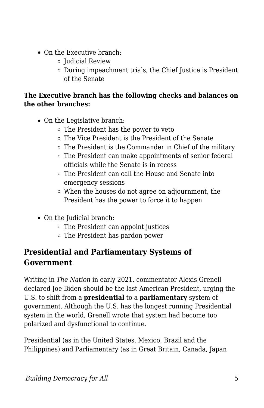- On the Executive branch:
	- $\circ$  Judicial Review
	- During impeachment trials, the Chief Justice is President of the Senate

#### **The Executive branch has the following checks and balances on the other branches:**

- On the Legislative branch:
	- The President has the power to veto
	- The Vice President is the President of the Senate
	- $\circ$  The President is the Commander in Chief of the military
	- The President can make appointments of senior federal officials while the Senate is in recess
	- The President can call the House and Senate into emergency sessions
	- When the houses do not agree on adjournment, the President has the power to force it to happen
- On the Judicial branch:
	- The President can appoint justices
	- The President has pardon power

## **Presidential and Parliamentary Systems of Government**

Writing in *The Nation* in early 2021, commentator Alexis Grenell declared Joe Biden should be the last American President, urging the U.S. to shift from a **presidential** to a **parliamentary** system of government. Although the U.S. has the longest running Presidential system in the world, Grenell wrote that system had become too polarized and dysfunctional to continue.

Presidential (as in the United States, Mexico, Brazil and the Philippines) and Parliamentary (as in Great Britain, Canada, Japan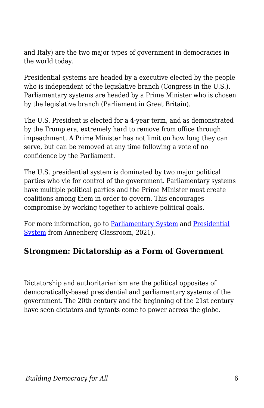and Italy) are the two major types of government in democracies in the world today.

Presidential systems are headed by a executive elected by the people who is independent of the legislative branch (Congress in the U.S.). Parliamentary systems are headed by a Prime Minister who is chosen by the legislative branch (Parliament in Great Britain).

The U.S. President is elected for a 4-year term, and as demonstrated by the Trump era, extremely hard to remove from office through impeachment. A Prime Minister has not limit on how long they can serve, but can be removed at any time following a vote of no confidence by the Parliament.

The U.S. presidential system is dominated by two major political parties who vie for control of the government. Parliamentary systems have multiple political parties and the Prime MInister must create coalitions among them in order to govern. This encourages compromise by working together to achieve political goals.

For more information, go to [Parliamentary System](https://www.annenbergclassroom.org/glossary_term/parliamentary-system/) and [Presidential](https://www.annenbergclassroom.org/glossary_term/presidential-system/) [System](https://www.annenbergclassroom.org/glossary_term/presidential-system/) from Annenberg Classroom, 2021).

### **Strongmen: Dictatorship as a Form of Government**

Dictatorship and authoritarianism are the political opposites of democratically-based presidential and parliamentary systems of the government. The 20th century and the beginning of the 21st century have seen dictators and tyrants come to power across the globe.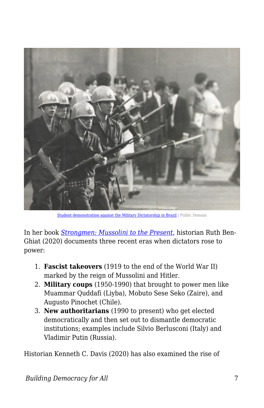

[Student demonstration against the Military Dictatorship in Brazil](https://commons.wikimedia.org/wiki/File:Manifesta%C3%A7%C3%A3o_estudantil_contra_a_Ditadura_Militar_351.tif) | Public Domain

In her book *[Strongmen: Mussolini to the Present](https://ruthbenghiat.com/strongmen/)*, historian Ruth Ben-Ghiat (2020) documents three recent eras when dictators rose to power:

- 1. **Fascist takeovers** (1919 to the end of the World War II) marked by the reign of Mussolini and Hitler.
- 2. **Military coups** (1950-1990) that brought to power men like Muammar Quddafi (Liyba), Mobuto Sese Seko (Zaire), and Augusto Pinochet (Chile).
- 3. **New authoritarians** (1990 to present) who get elected democratically and then set out to dismantle democratic institutions; examples include Silvio Berlusconi (Italy) and Vladimir Putin (Russia).

Historian Kenneth C. Davis (2020) has also examined the rise of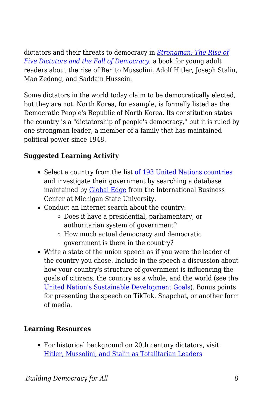dictators and their threats to democracy in *[Strongman: The Rise of](https://www.goodreads.com/book/show/51632330-strongman) [Five Dictators and the Fall of Democracy](https://www.goodreads.com/book/show/51632330-strongman)*, a book for young adult readers about the rise of Benito Mussolini, Adolf Hitler, Joseph Stalin, Mao Zedong, and Saddam Hussein.

Some dictators in the world today claim to be democratically elected, but they are not. North Korea, for example, is formally listed as the Democratic People's Republic of North Korea. Its constitution states the country is a "dictatorship of people's democracy," but it is ruled by one strongman leader, a member of a family that has maintained political power since 1948.

### **Suggested Learning Activity**

- Select a country from the list [of 193 United Nations countries](https://www.un.org/en/about-us/member-states) and investigate their government by searching a database maintained by [Global Edge](https://globaledge.msu.edu/global-insights/by/country) from the International Business Center at Michigan State University.
- Conduct an Internet search about the country:
	- Does it have a presidential, parliamentary, or authoritarian system of government?
	- How much actual democracy and democratic government is there in the country?
- Write a state of the union speech as if you were the leader of the country you chose. Include in the speech a discussion about how your country's structure of government is influencing the goals of citizens, the country as a whole, and the world (see the [United Nation's Sustainable Development Goals\)](https://sdgs.un.org/goals). Bonus points for presenting the speech on TikTok, Snapchat, or another form of media.

#### **Learning Resources**

For historical background on 20th century dictators, visit: [Hitler, Mussolini, and Stalin as Totalitarian Leaders](http://resourcesforhistoryteachers.pbworks.com/w/page/132189045/Hitler%2C%20Mussolini%2C%20and%20Stalin%20as%20Totalitarian%20Leaders)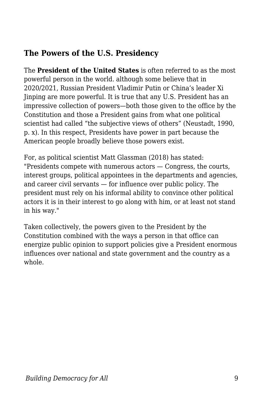## **The Powers of the U.S. Presidency**

The **President of the United States** is often referred to as the most powerful person in the world. although some believe that in 2020/2021, Russian President Vladimir Putin or China's leader Xi Jinping are more powerful. It is true that any U.S. President has an impressive collection of powers—both those given to the office by the Constitution and those a President gains from what one political scientist had called "the subjective views of others" (Neustadt, 1990, p. x). In this respect, Presidents have power in part because the American people broadly believe those powers exist.

For, as political scientist Matt Glassman (2018) has stated: "Presidents compete with numerous actors — Congress, the courts, interest groups, political appointees in the departments and agencies, and career civil servants — for influence over public policy. The president must rely on his informal ability to convince other political actors it is in their interest to go along with him, or at least not stand in his way."

Taken collectively, the powers given to the President by the Constitution combined with the ways a person in that office can energize public opinion to support policies give a President enormous influences over national and state government and the country as a whole.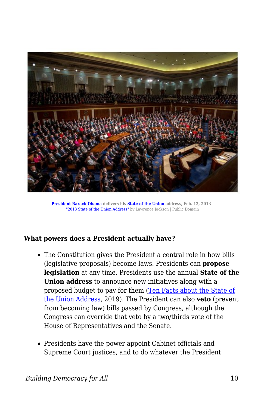

**[President](https://en.wikipedia.org/wiki/President_of_the_United_States) [Barack Obama](https://en.wikipedia.org/wiki/Barack_Obama) delivers his [State of the Union](https://en.wikipedia.org/wiki/State_of_the_Union) address, Feb. 12, 2013**  ["2013 State of the Union Address"](https://commons.wikimedia.org/w/index.php?search=President+Barack+Obama+delivers+his+State+of+the+Union+address%2C+Feb.+12%2C+2013+&title=Special%3ASearch&go=Go&ns0=1&ns6=1&ns12=1&ns14=1&ns100=1&ns106=1#/media/File:2013_State_of_the_Union_Address.jpg) by Lawrence Jackson | Public Domain

#### **What powers does a President actually have?**

- The Constitution gives the President a central role in how bills (legislative proposals) become laws. Presidents can **propose legislation** at any time. Presidents use the annual **State of the Union address** to announce new initiatives along with a proposed budget to pay for them ([Ten Facts about the State of](https://www.cfr.org/blog/ten-facts-about-state-union-address-0) [the Union Address,](https://www.cfr.org/blog/ten-facts-about-state-union-address-0) 2019). The President can also **veto** (prevent from becoming law) bills passed by Congress, although the Congress can override that veto by a two/thirds vote of the House of Representatives and the Senate.
- Presidents have the power appoint Cabinet officials and Supreme Court justices, and to do whatever the President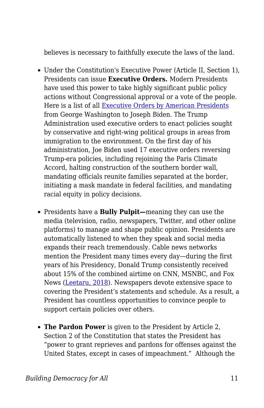believes is necessary to faithfully execute the laws of the land.

- Under the Constitution's Executive Power (Article II, Section 1), Presidents can issue **Executive Orders.** Modern Presidents have used this power to take highly significant public policy actions without Congressional approval or a vote of the people. Here is a list of all [Executive Orders by American Presidents](https://www.presidency.ucsb.edu/statistics/data/executive-orders) from George Washington to Joseph Biden. The Trump Administration used executive orders to enact policies sought by conservative and right-wing political groups in areas from immigration to the environment. On the first day of his administration, Joe Biden used 17 executive orders reversing Trump-era policies, including rejoining the Paris Climate Accord, halting construction of the southern border wall, mandating officials reunite families separated at the border, initiating a mask mandate in federal facilities, and mandating racial equity in policy decisions.
- Presidents have a **Bully Pulpit—**meaning they can use the media (television, radio, newspapers, Twitter, and other online platforms) to manage and shape public opinion. Presidents are automatically listened to when they speak and social media expands their reach tremendously. Cable news networks mention the President many times every day—during the first years of his Presidency, Donald Trump consistently received about 15% of the combined airtime on CNN, MSNBC, and Fox News ([Leetaru, 2018](https://www.realclearpolitics.com/articles/2018/12/06/measuring_the_medias_obsession_with_trump_138848.html)). Newspapers devote extensive space to covering the President's statements and schedule. As a result, a President has countless opportunities to convince people to support certain policies over others.
- **The Pardon Power** is given to the President by Article 2, Section 2 of the Constitution that states the President has "power to grant reprieves and pardons for offenses against the United States, except in cases of impeachment." Although the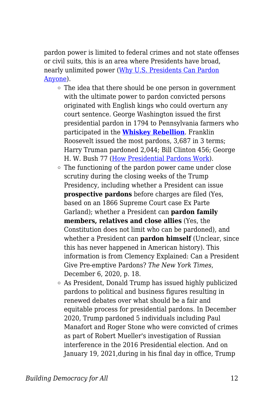pardon power is limited to federal crimes and not state offenses or civil suits, this is an area where Presidents have broad, nearly unlimited power ([Why U.S. Presidents Can Pardon](https://www.cnbc.com/2018/06/06/trump-us-presidential-pardons-history-clemency-constitution.html) [Anyone\)](https://www.cnbc.com/2018/06/06/trump-us-presidential-pardons-history-clemency-constitution.html).

- The idea that there should be one person in government with the ultimate power to pardon convicted persons originated with English kings who could overturn any court sentence. George Washington issued the first presidential pardon in 1794 to Pennsylvania farmers who participated in the **[Whiskey Rebellion](https://www.mountvernon.org/library/digitalhistory/digital-encyclopedia/article/whiskey-rebellion/)**. Franklin Roosevelt issued the most pardons, 3,687 in 3 terms; Harry Truman pardoned 2,044; Bill Clinton 456; George H. W. Bush 77 [\(How Presidential Pardons Work](https://people.howstuffworks.com/presidential-pardon6.htm)).
- The functioning of the pardon power came under close scrutiny during the closing weeks of the Trump Presidency, including whether a President can issue **prospective pardons** before charges are filed (Yes, based on an 1866 Supreme Court case Ex Parte Garland); whether a President can **pardon family members, relatives and close allies** (Yes, the Constitution does not limit who can be pardoned), and whether a President can **pardon himself** (Unclear, since this has never happened in American history). This information is from Clemency Explained: Can a President Give Pre-emptive Pardons? *The New York Times*, December 6, 2020, p. 18.
- $\circ$  As President, Donald Trump has issued highly publicized pardons to political and business figures resulting in renewed debates over what should be a fair and equitable process for presidential pardons. In December 2020, Trump pardoned 5 individuals including Paul Manafort and Roger Stone who were convicted of crimes as part of Robert Mueller's investigation of Russian interference in the 2016 Presidential election. And on January 19, 2021,during in his final day in office, Trump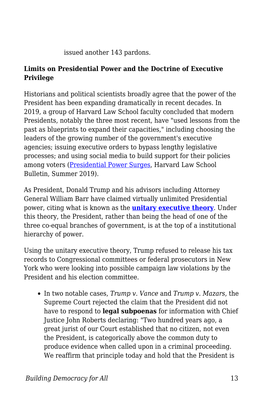issued another 143 pardons.

#### **Limits on Presidential Power and the Doctrine of Executive Privilege**

Historians and political scientists broadly agree that the power of the President has been expanding dramatically in recent decades. In 2019, a group of Harvard Law School faculty concluded that modern Presidents, notably the three most recent, have "used lessons from the past as blueprints to expand their capacities," including choosing the leaders of the growing number of the government's executive agencies; issuing executive orders to bypass lengthy legislative processes; and using social media to build support for their policies among voters [\(Presidential Power Surges,](https://today.law.harvard.edu/feature/presidential-power-surges/) Harvard Law School Bulletin, Summer 2019).

As President, Donald Trump and his advisors including Attorney General William Barr have claimed virtually unlimited Presidential power, citing what is known as the **[unitary executive theory](https://www.annenbergclassroom.org/glossary_term/unitary-executive-theory/)**. Under this theory, the President, rather than being the head of one of the three co-equal branches of government, is at the top of a institutional hierarchy of power.

Using the unitary executive theory, Trump refused to release his tax records to Congressional committees or federal prosecutors in New York who were looking into possible campaign law violations by the President and his election committee.

In two notable cases, *Trump v. Vance* and *Trump v. Mazars*, the Supreme Court rejected the claim that the President did not have to respond to **legal subpoenas** for information with Chief Justice John Roberts declaring: "Two hundred years ago, a great jurist of our Court established that no citizen, not even the President, is categorically above the common duty to produce evidence when called upon in a criminal proceeding. We reaffirm that principle today and hold that the President is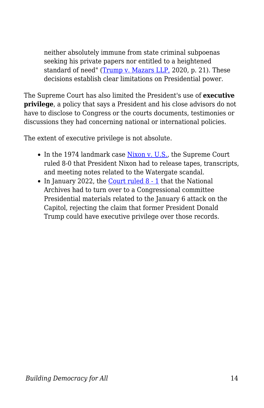neither absolutely immune from state criminal subpoenas seeking his private papers nor entitled to a heightened standard of need" ([Trump v. Mazars LLP,](https://www.supremecourt.gov/opinions/19pdf/19-715_febh.pdf) 2020, p. 21). These decisions establish clear limitations on Presidential power.

The Supreme Court has also limited the President's use of **executive privilege**, a policy that says a President and his close advisors do not have to disclose to Congress or the courts documents, testimonies or discussions they had concerning national or international policies.

The extent of executive privilege is not absolute.

- In the 1974 landmark case [Nixon v. U.S.](https://www.oyez.org/cases/1992/91-740), the Supreme Court ruled 8-0 that President Nixon had to release tapes, transcripts, and meeting notes related to the Watergate scandal.
- In January 2022, the [Court ruled 8 1](https://www.supremecourt.gov/opinions/21pdf/21a272_9p6b.pdf) that the National Archives had to turn over to a Congressional committee Presidential materials related to the January 6 attack on the Capitol, rejecting the claim that former President Donald Trump could have executive privilege over those records.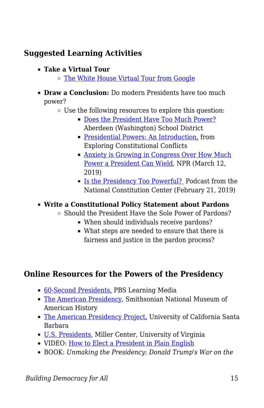## **Suggested Learning Activities**

- **Take a Virtual Tour**
	- [The White House Virtual Tour from Google](https://www.360virtualtour.co/portfolio/the-white-house-google-virtual-tour/)
- **Draw a Conclusion:** Do modern Presidents have too much power?
	- Use the following resources to explore this question:
		- [Does the President Have Too Much Power?](https://www.asd5.org/cms/lib/WA01001311/Centricity/Domain/897/Docs_Presidential%20Power.pdf) Aberdeen (Washington) School District
		- **[Presidential Powers: An Introduction,](http://law2.umkc.edu/faculty/projects/ftrials/conlaw/prespowers.html) from** Exploring Constitutional Conflicts
		- [Anxiety is Growing in Congress Over How Much](https://www.npr.org/2019/03/12/702735113/anxiety-is-growing-in-congress-over-how-much-power-a-president-can-wield) [Power a President Can Wield](https://www.npr.org/2019/03/12/702735113/anxiety-is-growing-in-congress-over-how-much-power-a-president-can-wield), NPR (March 12, 2019)
		- [Is the Presidency Too Powerful?](https://constitutioncenter.org/debate/podcasts/is-the-presidency-too-powerful) Podcast from the National Constitution Center (February 21, 2019)

#### **Write a Constitutional Policy Statement about Pardons**

- $\circ$  Should the President Have the Sole Power of Pardons?
	- When should individuals receive pardons?
	- What steps are needed to ensure that there is fairness and justice in the pardon process?

### **Online Resources for the Powers of the Presidency**

- [60-Second Presidents,](https://mass.pbslearningmedia.org/collection/60-second-presidents/) PBS Learning Media
- [The American Presidency,](https://americanhistory.si.edu/presidency/home.html) Smithsonian National Museum of American History
- [The American Presidency Project,](https://www.presidency.ucsb.edu) University of California Santa Barbara
- [U.S. Presidents,](https://millercenter.org/president) Miller Center, University of Virginia
- VIDEO: [How to Elect a President in Plain English](https://www.youtube.com/watch?v=ok_VQ8I7g6I)
- BOOK: *Unmaking the Presidency: Donald Trump's War on the*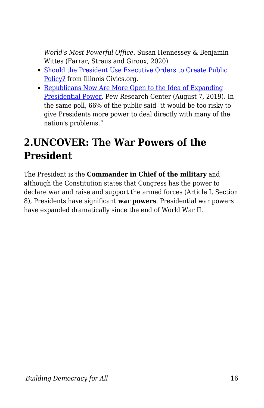*World's Most Powerful Office*. Susan Hennessey & Benjamin Wittes (Farrar, Straus and Giroux, 2020)

- [Should the President Use Executive Orders to Create Public](http://documents.mccormickfoundation.org/lesson-plans/executive-order-lesson-plan.pdf) [Policy?](http://documents.mccormickfoundation.org/lesson-plans/executive-order-lesson-plan.pdf) from Illinois Civics.org.
- [Republicans Now Are More Open to the Idea of Expanding](https://www.people-press.org/2019/08/07/republicans-now-are-more-open-to-the-idea-of-expanding-presidential-power/) [Presidential Power](https://www.people-press.org/2019/08/07/republicans-now-are-more-open-to-the-idea-of-expanding-presidential-power/), Pew Research Center (August 7, 2019). In the same poll, 66% of the public said "it would be too risky to give Presidents more power to deal directly with many of the nation's problems."

## **2.UNCOVER: The War Powers of the President**

The President is the **Commander in Chief of the military** and although the Constitution states that Congress has the power to declare war and raise and support the armed forces (Article I, Section 8), Presidents have significant **war powers**. Presidential war powers have expanded dramatically since the end of World War II.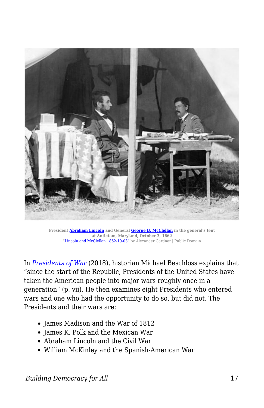

**President [Abraham Lincoln](https://en.wikipedia.org/wiki/Abraham_Lincoln) and General [George B. McClellan](https://en.wikipedia.org/wiki/George_B._McClellan) in the general's tent at Antietam, Maryland, October 3, 1862** ["Lincoln and McClellan 1862-10-03"](https://commons.wikimedia.org/wiki/File:Lincoln_and_McClellan_1862-10-03.jpg) by Alexander Gardner | Public Domain

In *[Presidents of War](https://www.penguinrandomhouse.com/books/13134/presidents-of-war-by-michael-beschloss/)* (2018), historian Michael Beschloss explains that "since the start of the Republic, Presidents of the United States have taken the American people into major wars roughly once in a generation" (p. vii). He then examines eight Presidents who entered wars and one who had the opportunity to do so, but did not. The Presidents and their wars are:

- James Madison and the War of 1812
- James K. Polk and the Mexican War
- Abraham Lincoln and the Civil War
- William McKinley and the Spanish-American War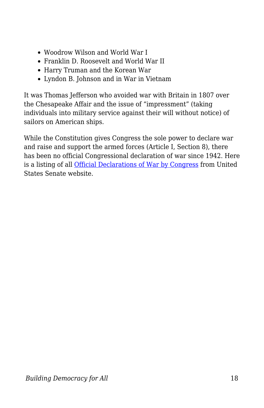- Woodrow Wilson and World War I
- Franklin D. Roosevelt and World War II
- Harry Truman and the Korean War
- Lyndon B. Johnson and in War in Vietnam

It was Thomas Jefferson who avoided war with Britain in 1807 over the Chesapeake Affair and the issue of "impressment" (taking individuals into military service against their will without notice) of sailors on American ships.

While the Constitution gives Congress the sole power to declare war and raise and support the armed forces (Article I, Section 8), there has been no official Congressional declaration of war since 1942. Here is a listing of all [Official Declarations of War by Congress](https://www.senate.gov/pagelayout/history/h_multi_sections_and_teasers/WarDeclarationsbyCongress.htm) from United States Senate website.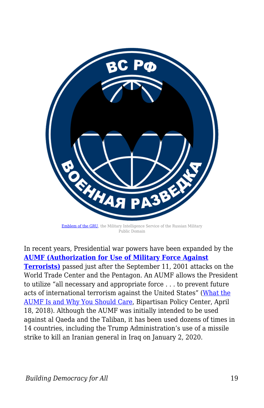

[Emblem of the GRU](https://upload.wikimedia.org/wikipedia/commons/1/12/Gru_emblem.png), the Military Intelligence Service of the Russian Military Public Domain

In recent years, Presidential war powers have been expanded by the **[AUMF \(Authorization for Use of Military Force Against](https://bipartisanpolicy.org/blog/what-the-aumf-is-and-why-you-should-care-2018/) [Terrorists\)](https://bipartisanpolicy.org/blog/what-the-aumf-is-and-why-you-should-care-2018/)** passed just after the September 11, 2001 attacks on the World Trade Center and the Pentagon. An AUMF allows the President to utilize "all necessary and appropriate force . . . to prevent future acts of international terrorism against the United States" [\(What the](https://bipartisanpolicy.org/blog/what-the-aumf-is-and-why-you-should-care-2018/) [AUMF Is and Why You Should Care,](https://bipartisanpolicy.org/blog/what-the-aumf-is-and-why-you-should-care-2018/) Bipartisan Policy Center, April 18, 2018). Although the AUMF was initially intended to be used against al Qaeda and the Taliban, it has been used dozens of times in 14 countries, including the Trump Administration's use of a missile strike to kill an Iranian general in Iraq on January 2, 2020.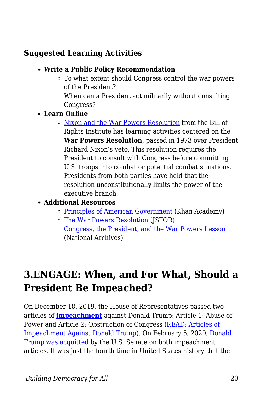## **Suggested Learning Activities**

- **Write a Public Policy Recommendation**
	- To what extent should Congress control the war powers of the President?
	- $\circ$  When can a President act militarily without consulting Congress?
- **Learn Online**
	- $\circ$  [Nixon and the War Powers Resolution](https://billofrightsinstitute.org/educate/educator-resources/lessons-plans/presidents-constitution/war-powers-resolution/) from the Bill of Rights Institute has learning activities centered on the **War Powers Resolution**, passed in 1973 over President Richard Nixon's veto. This resolution requires the President to consult with Congress before committing U.S. troops into combat or potential combat situations. Presidents from both parties have held that the resolution unconstitutionally limits the power of the executive branch.

### **Additional Resources**

- o [Principles of American Government \(](https://www.khanacademy.org/humanities/us-government-and-civics/us-gov-foundations/us-gov-principles-of-american-government/a/principles-of-american-government-article)Khan Academy)
- [The War Powers Resolution](https://www.jstor.org/stable/2657648?seq=1) (JSTOR)
- [Congress, the President, and the War Powers Lesson](https://www.archives.gov/legislative/resources/education/war-powers) (National Archives)

## **3.ENGAGE: When, and For What, Should a President Be Impeached?**

On December 18, 2019, the House of Representatives passed two articles of **[impeachment](https://history.house.gov/Institution/Origins-Development/Impeachment/)** against Donald Trump: Article 1: Abuse of Power and Article 2: Obstruction of Congress [\(READ: Articles of](https://www.npr.org/2019/12/10/786579846/read-articles-of-impeachment-against-president-trump) [Impeachment Against Donald Trump\)](https://www.npr.org/2019/12/10/786579846/read-articles-of-impeachment-against-president-trump). On February 5, 2020, [Donald](https://www.npr.org/2020/02/05/801429948/not-guilty-trump-acquitted-on-2-articles-of-impeachment-as-historic-trial-closes) [Trump was acquitted](https://www.npr.org/2020/02/05/801429948/not-guilty-trump-acquitted-on-2-articles-of-impeachment-as-historic-trial-closes) by the U.S. Senate on both impeachment articles. It was just the fourth time in United States history that the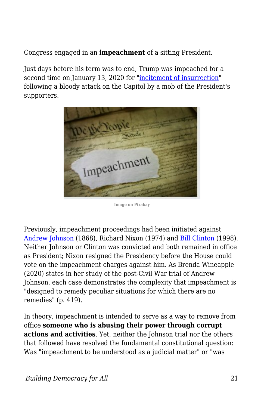Congress engaged in an **impeachment** of a sitting President.

Just days before his term was to end, Trump was impeached for a second time on January 13, 2020 for ["incitement of insurrection](https://cicilline.house.gov/sites/cicilline.house.gov/files/documents/ARTICLES%20-%20Final%201030%20-%20011121.pdf)" following a bloody attack on the Capitol by a mob of the President's supporters.



**Image on Pixabay**

Previously, impeachment proceedings had been initiated against [Andrew Johnson](https://www.senate.gov/artandhistory/history/common/briefing/Impeachment_Johnson.htm) (1868), Richard Nixon (1974) and [Bill Clinton](https://billofrightsinstitute.org/elessons/the-impeachment-of-bill-clinton/) (1998). Neither Johnson or Clinton was convicted and both remained in office as President; Nixon resigned the Presidency before the House could vote on the impeachment charges against him. As Brenda Wineapple (2020) states in her study of the post-Civil War trial of Andrew Johnson, each case demonstrates the complexity that impeachment is "designed to remedy peculiar situations for which there are no remedies" (p. 419).

In theory, impeachment is intended to serve as a way to remove from office **someone who is abusing their power through corrupt actions and activities**. Yet, neither the Johnson trial nor the others that followed have resolved the fundamental constitutional question: Was "impeachment to be understood as a judicial matter" or "was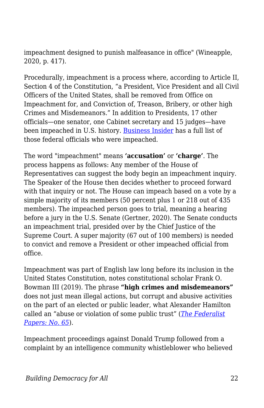impeachment designed to punish malfeasance in office" (Wineapple, 2020, p. 417).

Procedurally, impeachment is a process where, according to Article II, Section 4 of the Constitution, "a President, Vice President and all Civil Officers of the United States, shall be removed from Office on Impeachment for, and Conviction of, Treason, Bribery, or other high Crimes and Misdemeanors." In addition to Presidents, 17 other officials—one senator, one Cabinet secretary and 15 judges—have been impeached in U.S. history. [Business Insider](https://www.businessinsider.com/how-many-people-have-been-impeached-us-history-16-2017-5) has a full list of those federal officials who were impeached.

The word "impeachment" means **'accusation'** or **'charge'**. The process happens as follows: Any member of the House of Representatives can suggest the body begin an impeachment inquiry. The Speaker of the House then decides whether to proceed forward with that inquiry or not. The House can impeach based on a vote by a simple majority of its members (50 percent plus 1 or 218 out of 435 members). The impeached person goes to trial, meaning a hearing before a jury in the U.S. Senate (Gertner, 2020). The Senate conducts an impeachment trial, presided over by the Chief Justice of the Supreme Court. A super majority (67 out of 100 members) is needed to convict and remove a President or other impeached official from office.

Impeachment was part of English law long before its inclusion in the United States Constitution, notes constitutional scholar Frank O. Bowman III (2019). The phrase **"high crimes and misdemeanors"** does not just mean illegal actions, but corrupt and abusive activities on the part of an elected or public leader, what Alexander Hamilton called an "abuse or violation of some public trust" (*[The Federalist](https://avalon.law.yale.edu/18th_century/fed65.asp) [Papers: No. 65](https://avalon.law.yale.edu/18th_century/fed65.asp)*).

Impeachment proceedings against Donald Trump followed from a complaint by an intelligence community whistleblower who believed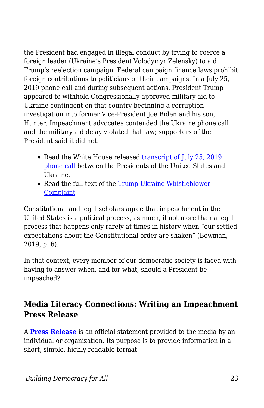the President had engaged in illegal conduct by trying to coerce a foreign leader (Ukraine's President Volodymyr Zelensky) to aid Trump's reelection campaign. Federal campaign finance laws prohibit foreign contributions to politicians or their campaigns. In a July 25, 2019 phone call and during subsequent actions, President Trump appeared to withhold Congressionally-approved military aid to Ukraine contingent on that country beginning a corruption investigation into former Vice-President Joe Biden and his son, Hunter. Impeachment advocates contended the Ukraine phone call and the military aid delay violated that law; supporters of the President said it did not.

- Read the White House released [transcript of July 25, 2019](https://www.cnn.com/2019/09/25/politics/donald-trump-ukraine-transcript-call/index.html) [phone call](https://www.cnn.com/2019/09/25/politics/donald-trump-ukraine-transcript-call/index.html) between the Presidents of the United States and Ukraine.
- Read the full text of the [Trump-Ukraine Whistleblower](https://www.nbcnews.com/politics/trump-impeachment-inquiry/read-full-text-whistleblower-complaint-n1058971) **[Complaint](https://www.nbcnews.com/politics/trump-impeachment-inquiry/read-full-text-whistleblower-complaint-n1058971)**

Constitutional and legal scholars agree that impeachment in the United States is a political process, as much, if not more than a legal process that happens only rarely at times in history when "our settled expectations about the Constitutional order are shaken" (Bowman, 2019, p. 6).

In that context, every member of our democratic society is faced with having to answer when, and for what, should a President be impeached?

## **Media Literacy Connections: Writing an Impeachment Press Release**

A **[Press Release](https://en.wikipedia.org/wiki/Press_release)** is an official statement provided to the media by an individual or organization. Its purpose is to provide information in a short, simple, highly readable format.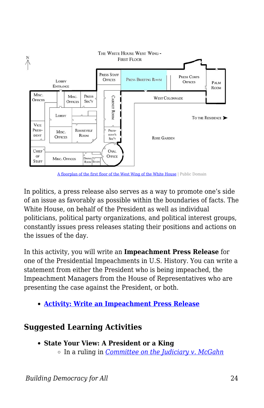

[A floorplan of the first floor of the West Wing of the White House](https://commons.wikimedia.org/wiki/File:White_House_West_Wing_-_1st_Floor_with_the_Press_Briefing_Room_highlighted.jpg) | Public Domain

In politics, a press release also serves as a way to promote one's side of an issue as favorably as possible within the boundaries of facts. The White House, on behalf of the President as well as individual politicians, political party organizations, and political interest groups, constantly issues press releases stating their positions and actions on the issues of the day.

In this activity, you will write an **Impeachment Press Release** for one of the Presidential Impeachments in U.S. History. You can write a statement from either the President who is being impeached, the Impeachment Managers from the House of Representatives who are presenting the case against the President, or both.

**[Activity: Write an Impeachment Press Release](https://edtechbooks.org/mediaandciviclearning/impeachment_press)**

### **Suggested Learning Activities**

**State Your View: A President or a King** In a ruling in *[Committee on the Judiciary v. McGahn](https://assets.documentcloud.org/documents/6560650/McGahn.pdf)*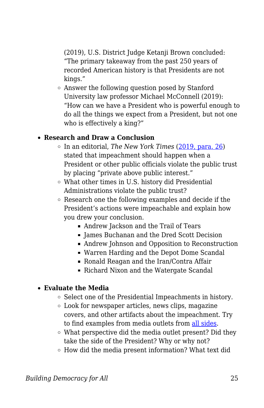(2019), U.S. District Judge Ketanji Brown concluded: "The primary takeaway from the past 250 years of recorded American history is that Presidents are not kings."

Answer the following question posed by Stanford University law professor Michael McConnell (2019): "How can we have a President who is powerful enough to do all the things we expect from a President, but not one who is effectively a king?"

#### **Research and Draw a Conclusion**

- In an editorial, *The New York Times* ([2019, para. 26](https://www.nytimes.com/interactive/2019/09/27/opinion/trump-impeachment-new-york-times.html)) stated that impeachment should happen when a President or other public officials violate the public trust by placing "private above public interest."
- What other times in U.S. history did Presidential Administrations violate the public trust?
- Research one the following examples and decide if the President's actions were impeachable and explain how you drew your conclusion.
	- Andrew Jackson and the Trail of Tears
	- James Buchanan and the Dred Scott Decision
	- Andrew Johnson and Opposition to Reconstruction
	- Warren Harding and the Depot Dome Scandal
	- Ronald Reagan and the Iran/Contra Affair
	- Richard Nixon and the Watergate Scandal

#### **Evaluate the Media**

- $\circ$  Select one of the Presidential Impeachments in history.
- Look for newspaper articles, news clips, magazine covers, and other artifacts about the impeachment. Try to find examples from media outlets from [all sides](https://www.allsides.com/unbiased-balanced-news).
- What perspective did the media outlet present? Did they take the side of the President? Why or why not?
- $\circ$  How did the media present information? What text did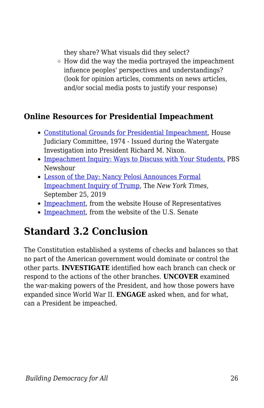they share? What visuals did they select?

 $\circ$  How did the way the media portrayed the impeachment infuence peoples' perspectives and understandings? (look for opinion articles, comments on news articles, and/or social media posts to justify your response)

## **Online Resources for Presidential Impeachment**

- [Constitutional Grounds for Presidential Impeachment](https://www.washingtonpost.com/wp-srv/politics/special/clinton/stories/watergatedoc.htm), House Judiciary Committee, 1974 - Issued during the Watergate Investigation into President Richard M. Nixon.
- [Impeachment Inquiry: Ways to Discuss with Your Students,](https://www.pbs.org/newshour/extra/daily-videos/impeachment-inquiry-how-to-examine-the-issue-with-your-students/) PBS Newshour
- [Lesson of the Day: Nancy Pelosi Announces Formal](https://www.nytimes.com/2019/09/25/learning/impeachment-process-lesson-plan.html) [Impeachment Inquiry of Trump,](https://www.nytimes.com/2019/09/25/learning/impeachment-process-lesson-plan.html) The *New York Times*, September 25, 2019
- [Impeachment,](https://history.house.gov/Institution/Origins-Development/Impeachment/) from the website House of Representatives
- [Impeachment,](https://www.senate.gov/reference/Index/Impeachment.htm) from the website of the U.S. Senate

## **Standard 3.2 Conclusion**

The Constitution established a systems of checks and balances so that no part of the American government would dominate or control the other parts. **INVESTIGATE** identified how each branch can check or respond to the actions of the other branches. **UNCOVER** examined the war-making powers of the President, and how those powers have expanded since World War II. **ENGAGE** asked when, and for what, can a President be impeached.